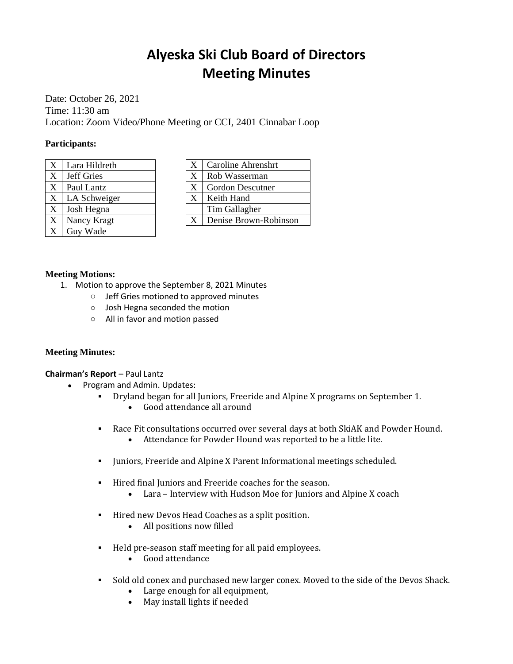# **Alyeska Ski Club Board of Directors Meeting Minutes**

Date: October 26, 2021 Time: 11:30 am Location: Zoom Video/Phone Meeting or CCI, 2401 Cinnabar Loop

## **Participants:**

| X | Lara Hildreth |
|---|---------------|
| X | Jeff Gries    |
| X | Paul Lantz    |
| X | LA Schweiger  |
| X | Josh Hegna    |
| X | Nancy Kragt   |
|   | Guy Wade      |

| X | Caroline Ahrenshrt    |
|---|-----------------------|
| X | Rob Wasserman         |
| X | Gordon Descutner      |
| X | Keith Hand            |
|   | Tim Gallagher         |
| X | Denise Brown-Robinson |

## **Meeting Motions:**

- 1. Motion to approve the September 8, 2021 Minutes
	- o Jeff Gries motioned to approved minutes
	- o Josh Hegna seconded the motion
	- o All in favor and motion passed

## **Meeting Minutes:**

**Chairman's Report** – Paul Lantz

- Program and Admin. Updates:
	- Dryland began for all Juniors, Freeride and Alpine X programs on September 1.
		- Good attendance all around
	- Race Fit consultations occurred over several days at both SkiAK and Powder Hound. • Attendance for Powder Hound was reported to be a little lite.
	- Juniors, Freeride and Alpine X Parent Informational meetings scheduled.
	- Hired final Juniors and Freeride coaches for the season.
		- Lara Interview with Hudson Moe for Juniors and Alpine X coach
	- Hired new Devos Head Coaches as a split position.
		- All positions now filled
	- Held pre-season staff meeting for all paid employees.
		- Good attendance
	- Sold old conex and purchased new larger conex. Moved to the side of the Devos Shack.
		- Large enough for all equipment,
		- May install lights if needed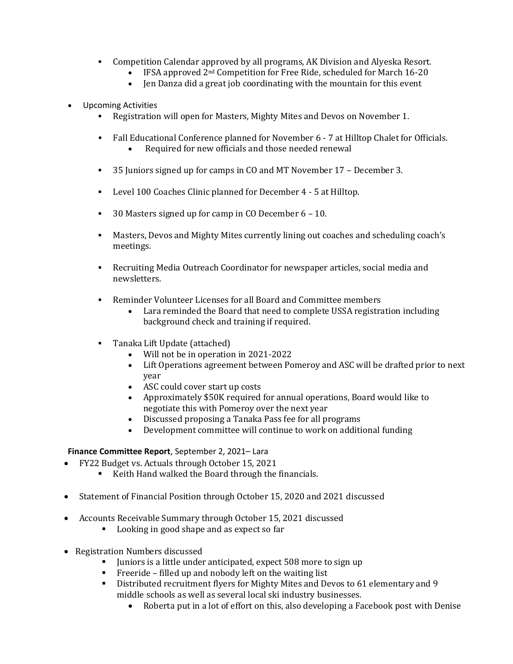- Competition Calendar approved by all programs, AK Division and Alyeska Resort.
	- IFSA approved 2<sup>nd</sup> Competition for Free Ride, scheduled for March 16-20
		- Jen Danza did a great job coordinating with the mountain for this event
- Upcoming Activities
	- Registration will open for Masters, Mighty Mites and Devos on November 1.
	- Fall Educational Conference planned for November 6 7 at Hilltop Chalet for Officials. • Required for new officials and those needed renewal
	- 35 Juniors signed up for camps in CO and MT November 17 December 3.
	- Level 100 Coaches Clinic planned for December 4 5 at Hilltop.
	- 30 Masters signed up for camp in CO December 6 10.
	- Masters, Devos and Mighty Mites currently lining out coaches and scheduling coach's meetings.
	- Recruiting Media Outreach Coordinator for newspaper articles, social media and newsletters.
	- Reminder Volunteer Licenses for all Board and Committee members
		- Lara reminded the Board that need to complete USSA registration including background check and training if required.
	- Tanaka Lift Update (attached)
		- Will not be in operation in 2021-2022
		- Lift Operations agreement between Pomeroy and ASC will be drafted prior to next year
		- ASC could cover start up costs
		- Approximately \$50K required for annual operations, Board would like to negotiate this with Pomeroy over the next year
		- Discussed proposing a Tanaka Pass fee for all programs
		- Development committee will continue to work on additional funding

## **Finance Committee Report**, September 2, 2021– Lara

- FY22 Budget vs. Actuals through October 15, 2021
	- Keith Hand walked the Board through the financials.
- Statement of Financial Position through October 15, 2020 and 2021 discussed
- Accounts Receivable Summary through October 15, 2021 discussed
	- Looking in good shape and as expect so far
- Registration Numbers discussed
	- Juniors is a little under anticipated, expect 508 more to sign up
	- Freeride filled up and nobody left on the waiting list
	- Distributed recruitment flyers for Mighty Mites and Devos to 61 elementary and 9 middle schools as well as several local ski industry businesses.
		- Roberta put in a lot of effort on this, also developing a Facebook post with Denise